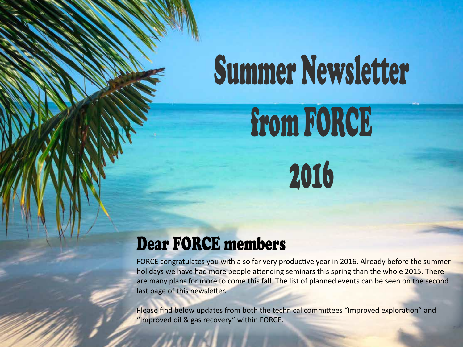# Summer Newsletter from FORCE

2016

## Dear FORCE members

FORCE congratulates you with a so far very productive year in 2016. Already before the summer holidays we have had more people attending seminars this spring than the whole 2015. There are many plans for more to come this fall. The list of planned events can be seen on the second last page of this newsletter.

Please find below updates from both the technical committees "Improved exploration" and "Improved oil & gas recovery" within FORCE.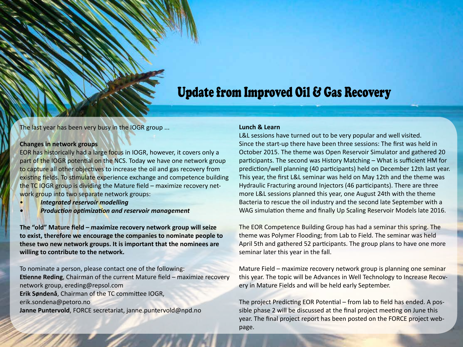## Update from Improved Oil & Gas Recovery

The last year has been very busy in the IOGR group ...

#### **Changes in network groups**

EOR has historically had a large focus in IOGR, however, it covers only a part of the IOGR potential on the NCS. Today we have one network group to capture all other objectives to increase the oil and gas recovery from existing fields. To stimulate experience exchange and competence building the TC IOGR group is dividing the Mature field – maximize recovery network group into two separate network groups:

- *Integrated reservoir modelling*
- *• Production optimization and reservoir management*

**The "old" Mature field – maximize recovery network group will seize to exist, therefore we encourage the companies to nominate people to these two new network groups. It is important that the nominees are willing to contribute to the network.**

To nominate a person, please contact one of the following: **Etienne Reding**, Chairman of the current Mature field – maximize recovery network group, ereding@repsol.com **Erik Søndenå**, Chairman of the TC committee IOGR, erik.sondena@petoro.no **Janne Puntervold**, FORCE secretariat, janne.puntervold@npd.no

#### **Lunch & Learn**

L&L sessions have turned out to be very popular and well visited. Since the start-up there have been three sessions: The first was held in October 2015. The theme was Open Reservoir Simulator and gathered 20 participants. The second was History Matching – What is sufficient HM for prediction/well planning (40 participants) held on December 12th last year. This year, the first L&L seminar was held on May 12th and the theme was Hydraulic Fracturing around Injectors (46 participants). There are three more L&L sessions planned this year, one August 24th with the theme Bacteria to rescue the oil industry and the second late September with a WAG simulation theme and finally Up Scaling Reservoir Models late 2016.

The EOR Competence Building Group has had a seminar this spring. The theme was Polymer Flooding; from Lab to Field. The seminar was held April 5th and gathered 52 participants. The group plans to have one more seminar later this year in the fall.

Mature Field – maximize recovery network group is planning one seminar this year. The topic will be Advances in Well Technology to Increase Recovery in Mature Fields and will be held early September.

The project Predicting EOR Potential – from lab to field has ended. A possible phase 2 will be discussed at the final project meeting on June this year. The final project report has been posted on the FORCE project webpage.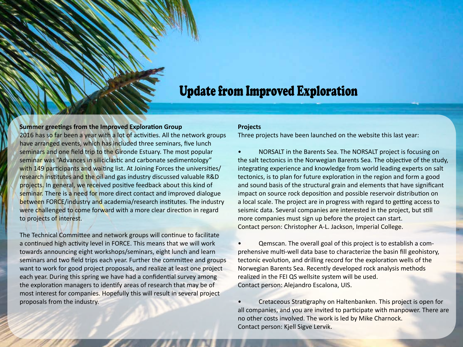### Update from Improved Exploration

#### **Summer greetings from the Improved Exploration Group**

2016 has so far been a year with a lot of activities. All the network groups have arranged events, which has included three seminars, five lunch seminars and one field trip to the Gironde Estuary. The most popular seminar was "Advances in siliciclastic and carbonate sedimentology" with 149 participants and waiting list. At Joining Forces the universities/ research institutes and the oil and gas industry discussed valuable R&D projects. In general, we received positive feedback about this kind of seminar. There is a need for more direct contact and improved dialogue between FORCE/industry and academia/research institutes. The industry were challenged to come forward with a more clear direction in regard to projects of interest.

The Technical Committee and network groups will continue to facilitate a continued high activity level in FORCE. This means that we will work towards announcing eight workshops/seminars, eight lunch and learn seminars and two field trips each year. Further the committee and groups want to work for good project proposals, and realize at least one project each year. During this spring we have had a confidential survey among the exploration managers to identify areas of research that may be of most interest for companies. Hopefully this will result in several project proposals from the industry.

#### **Projects**

Three projects have been launched on the website this last year:

• NORSALT in the Barents Sea. The NORSALT project is focusing on the salt tectonics in the Norwegian Barents Sea. The objective of the study, integrating experience and knowledge from world leading experts on salt tectonics, is to plan for future exploration in the region and form a good and sound basis of the structural grain and elements that have significant impact on source rock deposition and possible reservoir distribution on a local scale. The project are in progress with regard to getting access to seismic data. Several companies are interested in the project, but still more companies must sign up before the project can start. Contact person: Christopher A-L. Jackson, Imperial College.

• Qemscan. The overall goal of this project is to establish a comprehensive multi-well data base to characterize the basin fill geohistory, tectonic evolution, and drilling record for the exploration wells of the Norwegian Barents Sea. Recently developed rock analysis methods realized in the FEI QS wellsite system will be used. Contact person: Alejandro Escalona, UIS.

• Cretaceous Stratigraphy on Haltenbanken. This project is open for all companies, and you are invited to participate with manpower. There are no other costs involved. The work is led by Mike Charnock. Contact person: Kjell Sigve Lervik.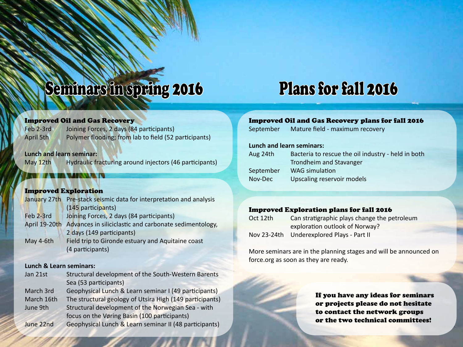## Seminars in spring 2016 Plans for fall 2016

#### Improved Oil and Gas Recovery

| Feb 2-3rd | Joining Forces, 2 days (84 participants)              |
|-----------|-------------------------------------------------------|
| April 5th | Polymer flooding; from lab to field (52 participants) |

#### **Lunch and learn seminar:**

May 12th Hydraulic fracturing around injectors (46 participants)

### Improved Exploration

|               | January 27th Pre-stack seismic data for interpretation and analysis |
|---------------|---------------------------------------------------------------------|
|               | (145 participants)                                                  |
| Feb 2-3rd     | Joining Forces, 2 days (84 participants)                            |
| April 19-20th | Advances in siliciclastic and carbonate sedimentology,              |
|               | 2 days (149 participants)                                           |
| May 4-6th     | Field trip to Gironde estuary and Aquitaine coast                   |
|               | (4 participants)                                                    |

#### **Lunch & Learn seminars:**

| Jan 21st   | Structural development of the South-Western Barents      |
|------------|----------------------------------------------------------|
|            | Sea (53 participants)                                    |
| March 3rd  | Geophysical Lunch & Learn seminar I (49 participants)    |
| March 16th | The structural geology of Utsira High (149 participants) |
| June 9th   | Structural development of the Norwegian Sea - with       |
|            | focus on the Vøring Basin (100 participants)             |
| June 22nd  | Geophysical Lunch & Learn seminar II (48 participants)   |

### Improved Oil and Gas Recovery plans for fall 2016

September Mature field - maximum recovery

#### **Lunch and learn seminars:**

| Aug 24th  | Bacteria to rescue the oil industry - held in both |
|-----------|----------------------------------------------------|
|           | Trondheim and Stavanger                            |
| September | WAG simulation                                     |
| Nov-Dec   | Upscaling reservoir models                         |

#### Improved Exploration plans for fall 2016

| Oct 12th | Can stratigraphic plays change the petroleum |
|----------|----------------------------------------------|
|          | exploration outlook of Norway?               |
|          | Nov 23-24th Underexplored Plays - Part II    |

More seminars are in the planning stages and will be announced on force.org as soon as they are ready.

> If you have any ideas for seminars or projects please do not hesitate to contact the network groups or the two technical committees!